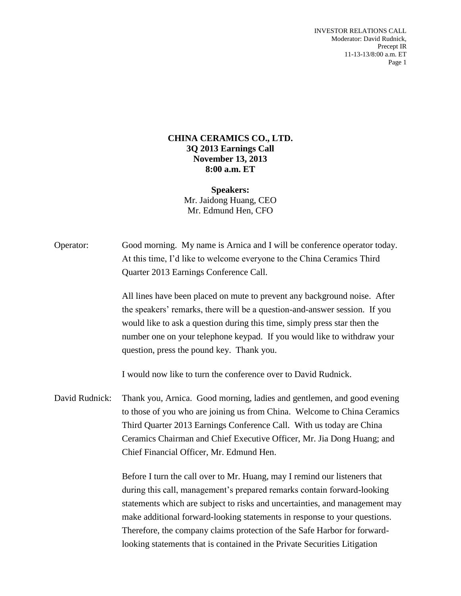INVESTOR RELATIONS CALL Moderator: David Rudnick, Precept IR 11-13-13/8:00 a.m. ET Page 1

## **CHINA CERAMICS CO., LTD. 3Q 2013 Earnings Call November 13, 2013 8:00 a.m. ET**

**Speakers:** Mr. Jaidong Huang, CEO Mr. Edmund Hen, CFO

Operator: Good morning. My name is Arnica and I will be conference operator today. At this time, I'd like to welcome everyone to the China Ceramics Third Quarter 2013 Earnings Conference Call.

> All lines have been placed on mute to prevent any background noise. After the speakers' remarks, there will be a question-and-answer session. If you would like to ask a question during this time, simply press star then the number one on your telephone keypad. If you would like to withdraw your question, press the pound key. Thank you.

I would now like to turn the conference over to David Rudnick.

David Rudnick: Thank you, Arnica. Good morning, ladies and gentlemen, and good evening to those of you who are joining us from China. Welcome to China Ceramics Third Quarter 2013 Earnings Conference Call. With us today are China Ceramics Chairman and Chief Executive Officer, Mr. Jia Dong Huang; and Chief Financial Officer, Mr. Edmund Hen.

> Before I turn the call over to Mr. Huang, may I remind our listeners that during this call, management's prepared remarks contain forward-looking statements which are subject to risks and uncertainties, and management may make additional forward-looking statements in response to your questions. Therefore, the company claims protection of the Safe Harbor for forwardlooking statements that is contained in the Private Securities Litigation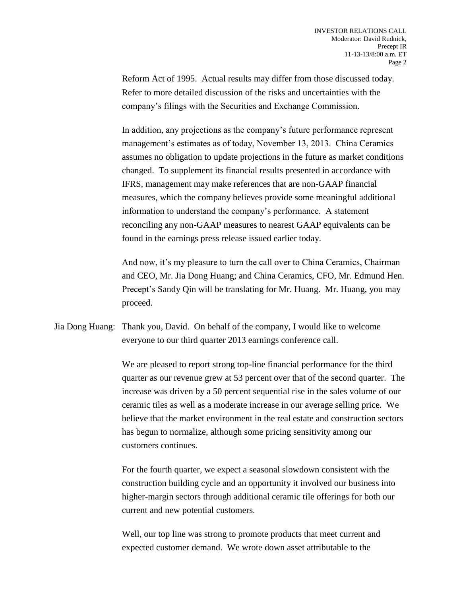Reform Act of 1995. Actual results may differ from those discussed today. Refer to more detailed discussion of the risks and uncertainties with the company's filings with the Securities and Exchange Commission.

In addition, any projections as the company's future performance represent management's estimates as of today, November 13, 2013. China Ceramics assumes no obligation to update projections in the future as market conditions changed. To supplement its financial results presented in accordance with IFRS, management may make references that are non-GAAP financial measures, which the company believes provide some meaningful additional information to understand the company's performance. A statement reconciling any non-GAAP measures to nearest GAAP equivalents can be found in the earnings press release issued earlier today.

And now, it's my pleasure to turn the call over to China Ceramics, Chairman and CEO, Mr. Jia Dong Huang; and China Ceramics, CFO, Mr. Edmund Hen. Precept's Sandy Qin will be translating for Mr. Huang. Mr. Huang, you may proceed.

Jia Dong Huang: Thank you, David. On behalf of the company, I would like to welcome everyone to our third quarter 2013 earnings conference call.

> We are pleased to report strong top-line financial performance for the third quarter as our revenue grew at 53 percent over that of the second quarter. The increase was driven by a 50 percent sequential rise in the sales volume of our ceramic tiles as well as a moderate increase in our average selling price. We believe that the market environment in the real estate and construction sectors has begun to normalize, although some pricing sensitivity among our customers continues.

For the fourth quarter, we expect a seasonal slowdown consistent with the construction building cycle and an opportunity it involved our business into higher-margin sectors through additional ceramic tile offerings for both our current and new potential customers.

Well, our top line was strong to promote products that meet current and expected customer demand. We wrote down asset attributable to the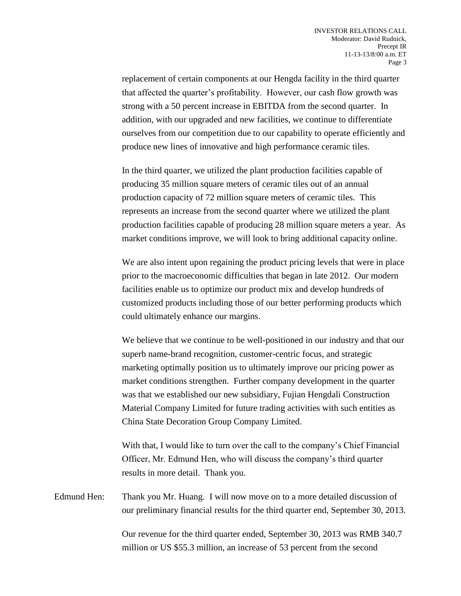replacement of certain components at our Hengda facility in the third quarter that affected the quarter's profitability. However, our cash flow growth was strong with a 50 percent increase in EBITDA from the second quarter. In addition, with our upgraded and new facilities, we continue to differentiate ourselves from our competition due to our capability to operate efficiently and produce new lines of innovative and high performance ceramic tiles.

In the third quarter, we utilized the plant production facilities capable of producing 35 million square meters of ceramic tiles out of an annual production capacity of 72 million square meters of ceramic tiles. This represents an increase from the second quarter where we utilized the plant production facilities capable of producing 28 million square meters a year. As market conditions improve, we will look to bring additional capacity online.

We are also intent upon regaining the product pricing levels that were in place prior to the macroeconomic difficulties that began in late 2012. Our modern facilities enable us to optimize our product mix and develop hundreds of customized products including those of our better performing products which could ultimately enhance our margins.

We believe that we continue to be well-positioned in our industry and that our superb name-brand recognition, customer-centric focus, and strategic marketing optimally position us to ultimately improve our pricing power as market conditions strengthen. Further company development in the quarter was that we established our new subsidiary, Fujian Hengdali Construction Material Company Limited for future trading activities with such entities as China State Decoration Group Company Limited.

With that, I would like to turn over the call to the company's Chief Financial Officer, Mr. Edmund Hen, who will discuss the company's third quarter results in more detail. Thank you.

Edmund Hen: Thank you Mr. Huang. I will now move on to a more detailed discussion of our preliminary financial results for the third quarter end, September 30, 2013.

> Our revenue for the third quarter ended, September 30, 2013 was RMB 340.7 million or US \$55.3 million, an increase of 53 percent from the second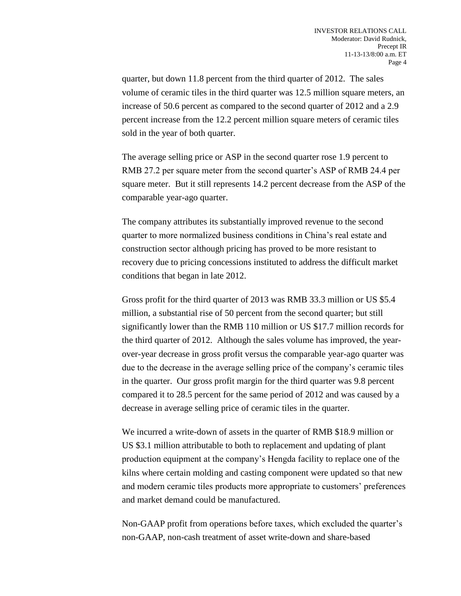quarter, but down 11.8 percent from the third quarter of 2012. The sales volume of ceramic tiles in the third quarter was 12.5 million square meters, an increase of 50.6 percent as compared to the second quarter of 2012 and a 2.9 percent increase from the 12.2 percent million square meters of ceramic tiles sold in the year of both quarter.

The average selling price or ASP in the second quarter rose 1.9 percent to RMB 27.2 per square meter from the second quarter's ASP of RMB 24.4 per square meter. But it still represents 14.2 percent decrease from the ASP of the comparable year-ago quarter.

The company attributes its substantially improved revenue to the second quarter to more normalized business conditions in China's real estate and construction sector although pricing has proved to be more resistant to recovery due to pricing concessions instituted to address the difficult market conditions that began in late 2012.

Gross profit for the third quarter of 2013 was RMB 33.3 million or US \$5.4 million, a substantial rise of 50 percent from the second quarter; but still significantly lower than the RMB 110 million or US \$17.7 million records for the third quarter of 2012. Although the sales volume has improved, the yearover-year decrease in gross profit versus the comparable year-ago quarter was due to the decrease in the average selling price of the company's ceramic tiles in the quarter. Our gross profit margin for the third quarter was 9.8 percent compared it to 28.5 percent for the same period of 2012 and was caused by a decrease in average selling price of ceramic tiles in the quarter.

We incurred a write-down of assets in the quarter of RMB \$18.9 million or US \$3.1 million attributable to both to replacement and updating of plant production equipment at the company's Hengda facility to replace one of the kilns where certain molding and casting component were updated so that new and modern ceramic tiles products more appropriate to customers' preferences and market demand could be manufactured.

Non-GAAP profit from operations before taxes, which excluded the quarter's non-GAAP, non-cash treatment of asset write-down and share-based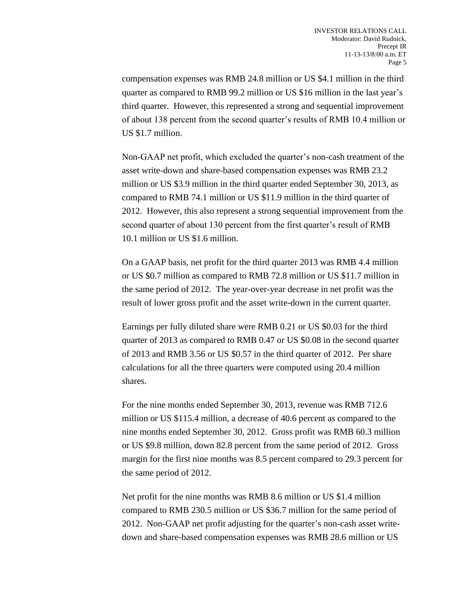compensation expenses was RMB 24.8 million or US \$4.1 million in the third quarter as compared to RMB 99.2 million or US \$16 million in the last year's third quarter. However, this represented a strong and sequential improvement of about 138 percent from the second quarter's results of RMB 10.4 million or US \$1.7 million.

Non-GAAP net profit, which excluded the quarter's non-cash treatment of the asset write-down and share-based compensation expenses was RMB 23.2 million or US \$3.9 million in the third quarter ended September 30, 2013, as compared to RMB 74.1 million or US \$11.9 million in the third quarter of 2012. However, this also represent a strong sequential improvement from the second quarter of about 130 percent from the first quarter's result of RMB 10.1 million or US \$1.6 million.

On a GAAP basis, net profit for the third quarter 2013 was RMB 4.4 million or US \$0.7 million as compared to RMB 72.8 million or US \$11.7 million in the same period of 2012. The year-over-year decrease in net profit was the result of lower gross profit and the asset write-down in the current quarter.

Earnings per fully diluted share were RMB 0.21 or US \$0.03 for the third quarter of 2013 as compared to RMB 0.47 or US \$0.08 in the second quarter of 2013 and RMB 3.56 or US \$0.57 in the third quarter of 2012. Per share calculations for all the three quarters were computed using 20.4 million shares.

For the nine months ended September 30, 2013, revenue was RMB 712.6 million or US \$115.4 million, a decrease of 40.6 percent as compared to the nine months ended September 30, 2012. Gross profit was RMB 60.3 million or US \$9.8 million, down 82.8 percent from the same period of 2012. Gross margin for the first nine months was 8.5 percent compared to 29.3 percent for the same period of 2012.

Net profit for the nine months was RMB 8.6 million or US \$1.4 million compared to RMB 230.5 million or US \$36.7 million for the same period of 2012. Non-GAAP net profit adjusting for the quarter's non-cash asset writedown and share-based compensation expenses was RMB 28.6 million or US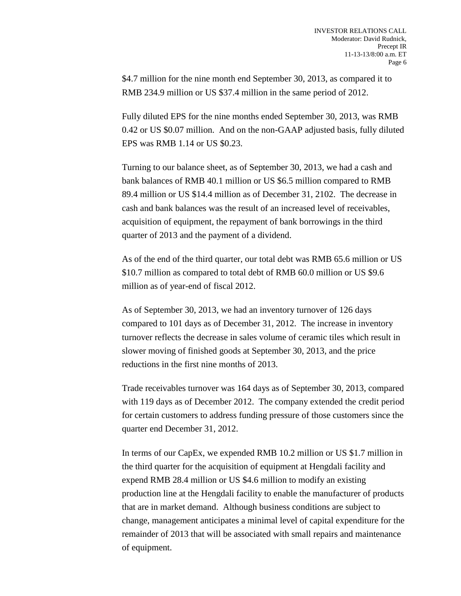\$4.7 million for the nine month end September 30, 2013, as compared it to RMB 234.9 million or US \$37.4 million in the same period of 2012.

Fully diluted EPS for the nine months ended September 30, 2013, was RMB 0.42 or US \$0.07 million. And on the non-GAAP adjusted basis, fully diluted EPS was RMB 1.14 or US \$0.23.

Turning to our balance sheet, as of September 30, 2013, we had a cash and bank balances of RMB 40.1 million or US \$6.5 million compared to RMB 89.4 million or US \$14.4 million as of December 31, 2102. The decrease in cash and bank balances was the result of an increased level of receivables, acquisition of equipment, the repayment of bank borrowings in the third quarter of 2013 and the payment of a dividend.

As of the end of the third quarter, our total debt was RMB 65.6 million or US \$10.7 million as compared to total debt of RMB 60.0 million or US \$9.6 million as of year-end of fiscal 2012.

As of September 30, 2013, we had an inventory turnover of 126 days compared to 101 days as of December 31, 2012. The increase in inventory turnover reflects the decrease in sales volume of ceramic tiles which result in slower moving of finished goods at September 30, 2013, and the price reductions in the first nine months of 2013.

Trade receivables turnover was 164 days as of September 30, 2013, compared with 119 days as of December 2012. The company extended the credit period for certain customers to address funding pressure of those customers since the quarter end December 31, 2012.

In terms of our CapEx, we expended RMB 10.2 million or US \$1.7 million in the third quarter for the acquisition of equipment at Hengdali facility and expend RMB 28.4 million or US \$4.6 million to modify an existing production line at the Hengdali facility to enable the manufacturer of products that are in market demand. Although business conditions are subject to change, management anticipates a minimal level of capital expenditure for the remainder of 2013 that will be associated with small repairs and maintenance of equipment.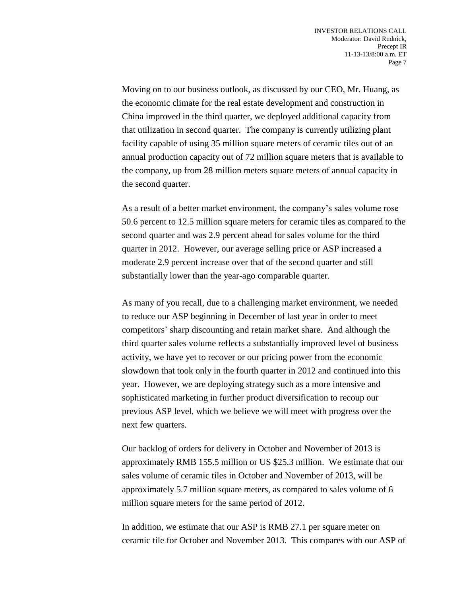Moving on to our business outlook, as discussed by our CEO, Mr. Huang, as the economic climate for the real estate development and construction in China improved in the third quarter, we deployed additional capacity from that utilization in second quarter. The company is currently utilizing plant facility capable of using 35 million square meters of ceramic tiles out of an annual production capacity out of 72 million square meters that is available to the company, up from 28 million meters square meters of annual capacity in the second quarter.

As a result of a better market environment, the company's sales volume rose 50.6 percent to 12.5 million square meters for ceramic tiles as compared to the second quarter and was 2.9 percent ahead for sales volume for the third quarter in 2012. However, our average selling price or ASP increased a moderate 2.9 percent increase over that of the second quarter and still substantially lower than the year-ago comparable quarter.

As many of you recall, due to a challenging market environment, we needed to reduce our ASP beginning in December of last year in order to meet competitors' sharp discounting and retain market share. And although the third quarter sales volume reflects a substantially improved level of business activity, we have yet to recover or our pricing power from the economic slowdown that took only in the fourth quarter in 2012 and continued into this year. However, we are deploying strategy such as a more intensive and sophisticated marketing in further product diversification to recoup our previous ASP level, which we believe we will meet with progress over the next few quarters.

Our backlog of orders for delivery in October and November of 2013 is approximately RMB 155.5 million or US \$25.3 million. We estimate that our sales volume of ceramic tiles in October and November of 2013, will be approximately 5.7 million square meters, as compared to sales volume of 6 million square meters for the same period of 2012.

In addition, we estimate that our ASP is RMB 27.1 per square meter on ceramic tile for October and November 2013. This compares with our ASP of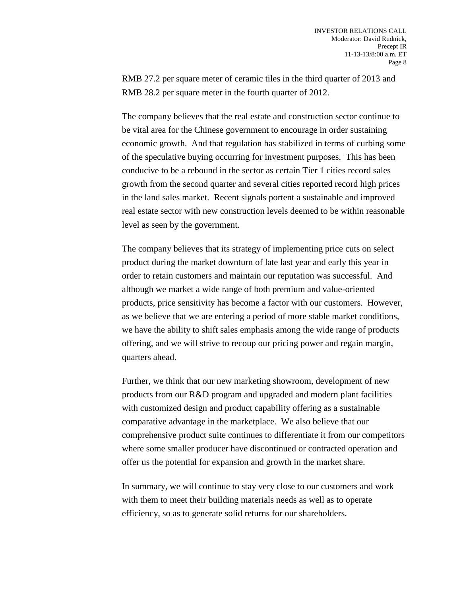RMB 27.2 per square meter of ceramic tiles in the third quarter of 2013 and RMB 28.2 per square meter in the fourth quarter of 2012.

The company believes that the real estate and construction sector continue to be vital area for the Chinese government to encourage in order sustaining economic growth. And that regulation has stabilized in terms of curbing some of the speculative buying occurring for investment purposes. This has been conducive to be a rebound in the sector as certain Tier 1 cities record sales growth from the second quarter and several cities reported record high prices in the land sales market. Recent signals portent a sustainable and improved real estate sector with new construction levels deemed to be within reasonable level as seen by the government.

The company believes that its strategy of implementing price cuts on select product during the market downturn of late last year and early this year in order to retain customers and maintain our reputation was successful. And although we market a wide range of both premium and value-oriented products, price sensitivity has become a factor with our customers. However, as we believe that we are entering a period of more stable market conditions, we have the ability to shift sales emphasis among the wide range of products offering, and we will strive to recoup our pricing power and regain margin, quarters ahead.

Further, we think that our new marketing showroom, development of new products from our R&D program and upgraded and modern plant facilities with customized design and product capability offering as a sustainable comparative advantage in the marketplace. We also believe that our comprehensive product suite continues to differentiate it from our competitors where some smaller producer have discontinued or contracted operation and offer us the potential for expansion and growth in the market share.

In summary, we will continue to stay very close to our customers and work with them to meet their building materials needs as well as to operate efficiency, so as to generate solid returns for our shareholders.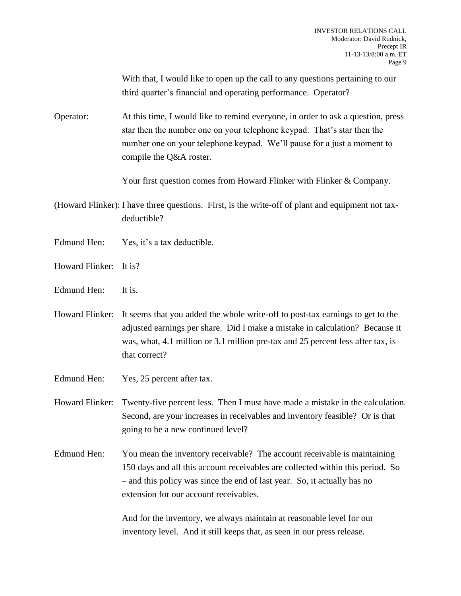With that, I would like to open up the call to any questions pertaining to our third quarter's financial and operating performance. Operator?

Operator: At this time, I would like to remind everyone, in order to ask a question, press star then the number one on your telephone keypad. That's star then the number one on your telephone keypad. We'll pause for a just a moment to compile the Q&A roster.

Your first question comes from Howard Flinker with Flinker & Company.

(Howard Flinker): I have three questions. First, is the write-off of plant and equipment not taxdeductible?

- Edmund Hen: Yes, it's a tax deductible.
- Howard Flinker: It is?
- Edmund Hen: It is.

Howard Flinker: It seems that you added the whole write-off to post-tax earnings to get to the adjusted earnings per share. Did I make a mistake in calculation? Because it was, what, 4.1 million or 3.1 million pre-tax and 25 percent less after tax, is that correct?

- Edmund Hen: Yes, 25 percent after tax.
- Howard Flinker: Twenty-five percent less. Then I must have made a mistake in the calculation. Second, are your increases in receivables and inventory feasible? Or is that going to be a new continued level?
- Edmund Hen: You mean the inventory receivable? The account receivable is maintaining 150 days and all this account receivables are collected within this period. So – and this policy was since the end of last year. So, it actually has no extension for our account receivables.

And for the inventory, we always maintain at reasonable level for our inventory level. And it still keeps that, as seen in our press release.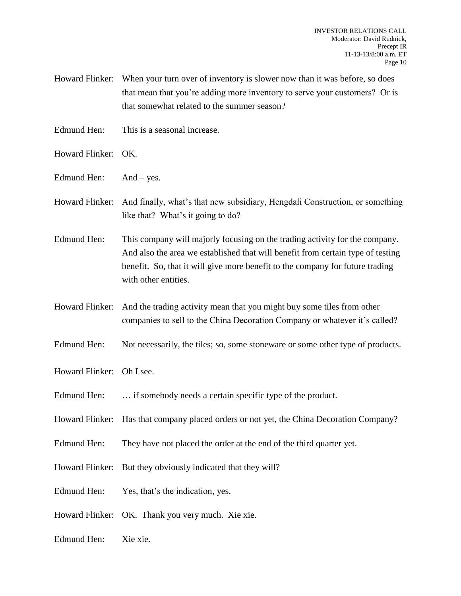- Howard Flinker: When your turn over of inventory is slower now than it was before, so does that mean that you're adding more inventory to serve your customers? Or is that somewhat related to the summer season?
- Edmund Hen: This is a seasonal increase.
- Howard Flinker: OK.
- Edmund Hen: And yes.
- Howard Flinker: And finally, what's that new subsidiary, Hengdali Construction, or something like that? What's it going to do?
- Edmund Hen: This company will majorly focusing on the trading activity for the company. And also the area we established that will benefit from certain type of testing benefit. So, that it will give more benefit to the company for future trading with other entities.
- Howard Flinker: And the trading activity mean that you might buy some tiles from other companies to sell to the China Decoration Company or whatever it's called?
- Edmund Hen: Not necessarily, the tiles; so, some stoneware or some other type of products.
- Howard Flinker: Oh I see.
- Edmund Hen: ... if somebody needs a certain specific type of the product.
- Howard Flinker: Has that company placed orders or not yet, the China Decoration Company?
- Edmund Hen: They have not placed the order at the end of the third quarter yet.
- Howard Flinker: But they obviously indicated that they will?
- Edmund Hen: Yes, that's the indication, yes.
- Howard Flinker: OK. Thank you very much. Xie xie.
- Edmund Hen: Xie xie.